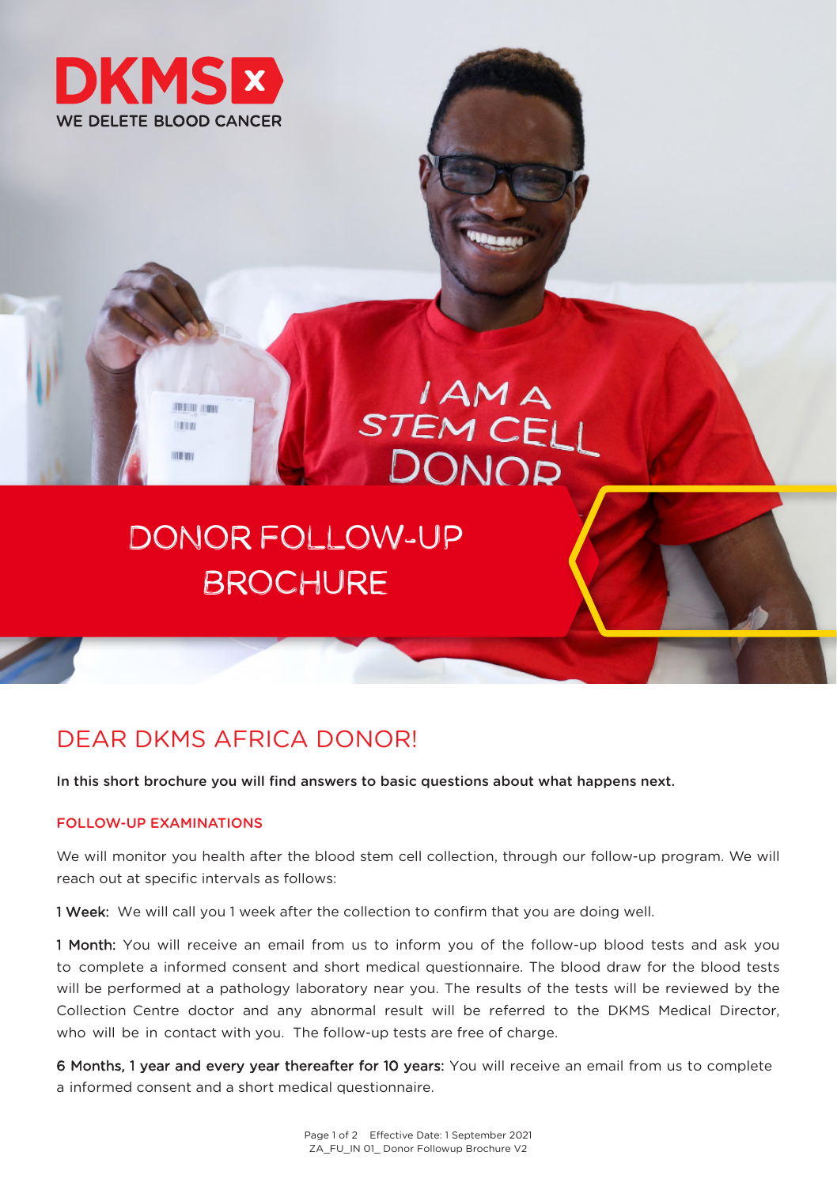

**RESULT STOLE LETH** 

**TABLIES** 

# I AM A<br>STEM CELL DONOP

## DONOR FOLLOW-UP BROCHURE

### DEAR DKMS AFRICA DONOR!

In this short brochure you will find answers to basic questions about what happens next.

#### FOLLOW-UP EXAMINATIONS

We will monitor you health after the blood stem cell collection, through our follow-up program. We will reach out at specific intervals as follows:

1 Week: We will call you 1 week after the collection to confirm that you are doing well.

1 Month: You will receive an email from us to inform you of the follow-up blood tests and ask you to complete a informed consent and short medical questionnaire. The blood draw for the blood tests will be performed at a pathology laboratory near you. The results of the tests will be reviewed by the Collection Centre doctor and any abnormal result will be referred to the DKMS Medical Director, who will be in contact with you. The follow-up tests are free of charge.

6 Months, 1 year and every year thereafter for 10 years: You will receive an email from us to complete a informed consent and a short medical questionnaire.